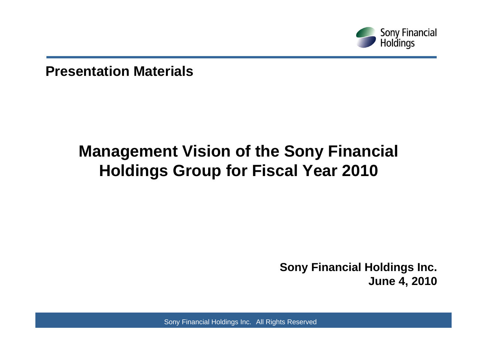

**Presentation Materials**

# **Management Vision of the Sony Financial Holdings Group for Fiscal Year 2010**

**Sony Financial Holdings Inc. June 4, 2010**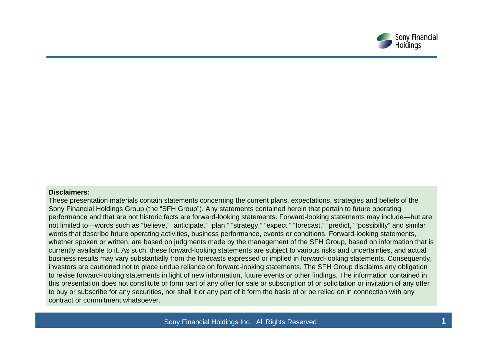

#### **Disclaimers:**

These presentation materials contain statements concerning the current plans, expectations, strategies and beliefs of the Sony Financial Holdings Group (the "SFH Group"). Any statements contained herein that pertain to future operating performance and that are not historic facts are forward-looking statements. Forward-looking statements may include—but are not limited to—words such as "believe," "anticipate," "plan," "strategy," "expect," "forecast," "predict," "possibility" and similar words that describe future operating activities, business performance, events or conditions. Forward-looking statements, whether spoken or written, are based on judgments made by the management of the SFH Group, based on information that is currently available to it. As such, these forward-looking statements are subject to various risks and uncertainties, and actual business results may vary substantially from the forecasts expressed or implied in forward-looking statements. Consequently, investors are cautioned not to place undue reliance on forward-looking statements. The SFH Group disclaims any obligation to revise forward-looking statements in light of new information, future events or other findings. The information contained in this presentation does not constitute or form part of any offer for sale or subscription of or solicitation or invitation of any offer to buy or subscribe for any securities, nor shall it or any part of it form the basis of or be relied on in connection with any contract or commitment whatsoever.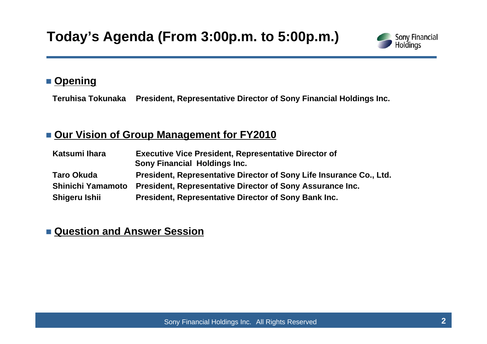

### ■ <u>Opening</u>

**Teruhisa Tokunaka President, Representative Director of Sony Financial Holdings Inc.**

### **Our Vision of Group Management for FY2010**

| Katsumi Ihara            | <b>Executive Vice President, Representative Director of</b><br><b>Sony Financial Holdings Inc.</b> |  |  |
|--------------------------|----------------------------------------------------------------------------------------------------|--|--|
|                          |                                                                                                    |  |  |
| <b>Taro Okuda</b>        | President, Representative Director of Sony Life Insurance Co., Ltd.                                |  |  |
| <b>Shinichi Yamamoto</b> | President, Representative Director of Sony Assurance Inc.                                          |  |  |
| Shigeru Ishii            | President, Representative Director of Sony Bank Inc.                                               |  |  |

### **Question and Answer Session**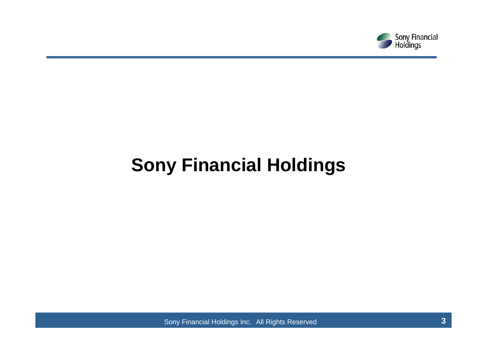

# **Sony Financial Holdings**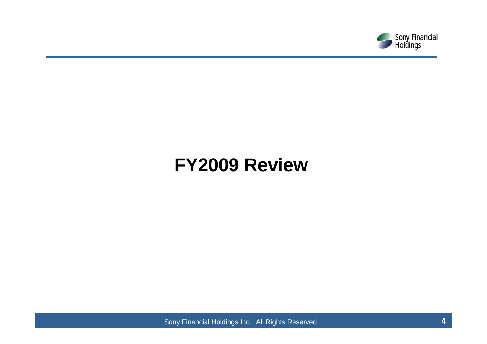

# **FY2009 Review**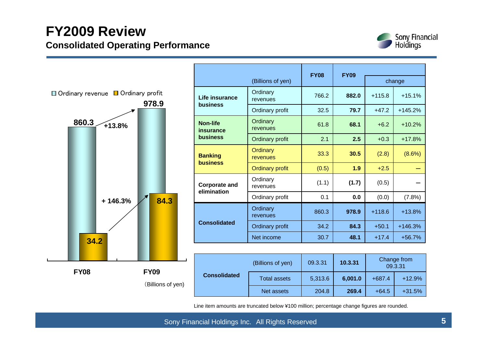

|                                                         |                   |                                     |                        | <b>FY08</b> | <b>FY09</b> |          |                        |
|---------------------------------------------------------|-------------------|-------------------------------------|------------------------|-------------|-------------|----------|------------------------|
|                                                         |                   |                                     | (Billions of yen)      |             |             |          | change                 |
| $\Box$ Ordinary revenue $\Box$ Ordinary profit<br>978.9 |                   | Life insurance<br>business          | Ordinary<br>revenues   | 766.2       | 882.0       | $+115.8$ | $+15.1%$               |
|                                                         |                   |                                     | Ordinary profit        | 32.5        | 79.7        | $+47.2$  | $+145.2%$              |
| 860.3                                                   | $+13.8%$          | <b>Non-life</b><br>insurance        | Ordinary<br>revenues   | 61.8        | 68.1        | $+6.2$   | $+10.2%$               |
|                                                         |                   | business                            | Ordinary profit        | 2.1         | 2.5         | $+0.3$   | $+17.8%$               |
|                                                         |                   | <b>Banking</b><br><b>business</b>   | Ordinary<br>revenues   | 33.3        | 30.5        | (2.8)    | $(8.6\%)$              |
|                                                         |                   |                                     | <b>Ordinary profit</b> | (0.5)       | 1.9         | $+2.5$   |                        |
|                                                         |                   | <b>Corporate and</b><br>elimination | Ordinary<br>revenues   | (1.1)       | (1.7)       | (0.5)    |                        |
|                                                         | 84.3<br>$+146.3%$ |                                     | Ordinary profit        | 0.1         | 0.0         | (0.0)    | (7.8%)                 |
|                                                         |                   |                                     | Ordinary<br>revenues   | 860.3       | 978.9       | $+118.6$ | $+13.8%$               |
|                                                         |                   | <b>Consolidated</b>                 | Ordinary profit        | 34.2        | 84.3        | $+50.1$  | $+146.3%$              |
| 34.2                                                    |                   |                                     | Net income             | 30.7        | 48.1        | $+17.4$  | $+56.7%$               |
|                                                         |                   |                                     |                        |             |             |          |                        |
|                                                         |                   |                                     | (Billions of yen)      | 09.3.31     | 10.3.31     |          | Change from<br>09.3.31 |
| <b>FY08</b>                                             | <b>FY09</b>       | <b>Consolidated</b>                 | <b>Total assets</b>    | 5,313.6     | 6,001.0     | $+687.4$ | $+12.9%$               |
|                                                         | (Billions of yen) |                                     |                        |             |             |          |                        |

Line item amounts are truncated below ¥100 million; percentage change figures are rounded.

204.8

**269.4** +64.5 +31.5%

Net assets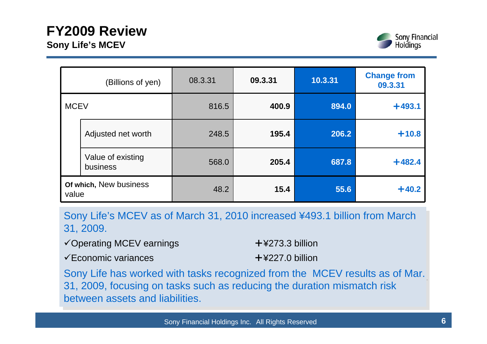

|                                 | (Billions of yen)             | 08.3.31 | 09.3.31 | 10.3.31 | <b>Change from</b><br>09.3.31 |
|---------------------------------|-------------------------------|---------|---------|---------|-------------------------------|
| <b>MCEV</b>                     |                               | 816.5   | 400.9   | 894.0   | $+493.1$                      |
|                                 | Adjusted net worth            | 248.5   | 195.4   | 206.2   | $+10.8$                       |
|                                 | Value of existing<br>business | 568.0   | 205.4   | 687.8   | $+482.4$                      |
| Of which, New business<br>value |                               | 48.2    | 15.4    | 55.6    | $+40.2$                       |

Sony Life's MCEV as of March 31, 2010 increased ¥493.1 billion from March Sony Life's MCEV as of March 31, 2010 increased ¥493.1 billion from March 31, 2009. 31, 2009.

| <del></del> ∕Operating MCEV earnings                    | $+$ ¥273.3 billion |
|---------------------------------------------------------|--------------------|
| <del></del> <del></del> <del>⊂</del> Economic variances | $+$ ¥227.0 billion |

Sony Life has worked with tasks recognized from the MCEV results as of Mar. 31, 2009, focusing on tasks such as reducing the duration mismatch risk 31, 2009, focusing on tasks such as reducing the duration mismatch risk between assets and liabilities.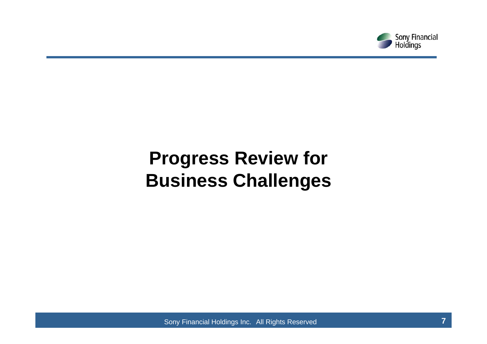

# **Progress Review for Business Challenges**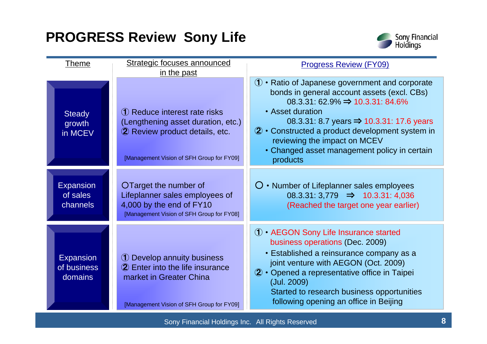## **PROGRESS Review Sony Life**



| Theme                                      | Strategic focuses announced<br>in the past                                                                                                          | <b>Progress Review (FY09)</b>                                                                                                                                                                                                                                                                                                                                                         |
|--------------------------------------------|-----------------------------------------------------------------------------------------------------------------------------------------------------|---------------------------------------------------------------------------------------------------------------------------------------------------------------------------------------------------------------------------------------------------------------------------------------------------------------------------------------------------------------------------------------|
| <b>Steady</b><br>growth<br>in MCEV         | (1) Reduce interest rate risks<br>(Lengthening asset duration, etc.)<br>2 Review product details, etc.<br>[Management Vision of SFH Group for FY09] | $\mathbf 0 \cdot$ Ratio of Japanese government and corporate<br>bonds in general account assets (excl. CBs)<br>$08.3.31:62.9\% \Rightarrow 10.3.31:84.6\%$<br>• Asset duration<br>08.3.31: 8.7 years $\Rightarrow$ 10.3.31: 17.6 years<br>2 • Constructed a product development system in<br>reviewing the impact on MCEV<br>• Changed asset management policy in certain<br>products |
| <b>Expansion</b><br>of sales<br>channels   | OTarget the number of<br>Lifeplanner sales employees of<br>4,000 by the end of FY10<br>[Management Vision of SFH Group for FY08]                    | $\bigcirc$ • Number of Lifeplanner sales employees<br>$08.3.31:3,779$ $\Rightarrow$ 10.3.31: 4,036<br>(Reached the target one year earlier)                                                                                                                                                                                                                                           |
| <b>Expansion</b><br>of business<br>domains | 1 Develop annuity business<br>2 Enter into the life insurance<br>market in Greater China<br>[Management Vision of SFH Group for FY09]               | 1 • AEGON Sony Life Insurance started<br>business operations (Dec. 2009)<br>• Established a reinsurance company as a<br>joint venture with AEGON (Oct. 2009)<br>2 • Opened a representative office in Taipei<br>(Jul. 2009)<br>Started to research business opportunities<br>following opening an office in Beijing                                                                   |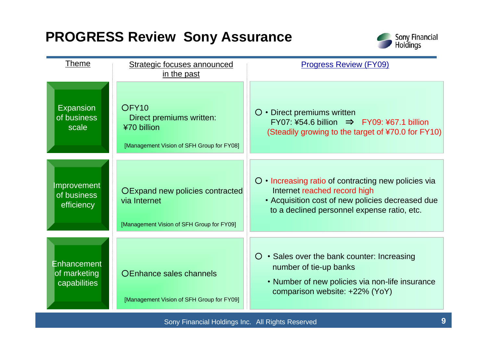## **PROGRESS Review Sony Assurance**



| <b>Theme</b>                                | Strategic focuses announced<br>in the past                                                                | <b>Progress Review (FY09)</b>                                                                                                                                                                 |
|---------------------------------------------|-----------------------------------------------------------------------------------------------------------|-----------------------------------------------------------------------------------------------------------------------------------------------------------------------------------------------|
| <b>Expansion</b><br>of business<br>scale    | OFY <sub>10</sub><br>Direct premiums written:<br>¥70 billion<br>[Management Vision of SFH Group for FY08] | $\bigcirc$ • Direct premiums written<br>$FY07: 454.6$ billion $\Rightarrow$ FY09: 467.1 billion<br>(Steadily growing to the target of ¥70.0 for FY10)                                         |
| Improvement<br>of business<br>efficiency    | OExpand new policies contracted<br>via Internet<br>[Management Vision of SFH Group for FY09]              | $\circ$ • Increasing ratio of contracting new policies via<br>Internet reached record high<br>• Acquisition cost of new policies decreased due<br>to a declined personnel expense ratio, etc. |
| Enhancement<br>of marketing<br>capabilities | OEnhance sales channels<br>[Management Vision of SFH Group for FY09]                                      | $\circ$ $\cdot$ Sales over the bank counter: Increasing<br>number of tie-up banks<br>• Number of new policies via non-life insurance<br>comparison website: +22% (YoY)                        |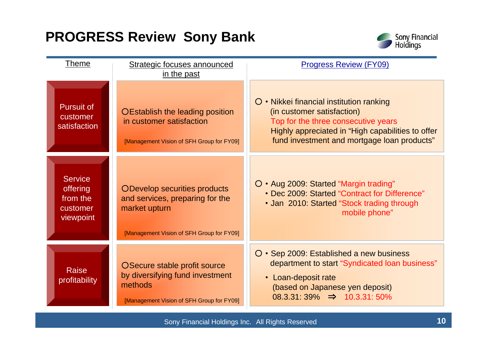### **PROGRESS Review Sony Bank**



| <u>Theme</u>                                                           | Strategic focuses announced<br>in the past                                                                                    | <b>Progress Review (FY09)</b>                                                                                                                                                                                     |
|------------------------------------------------------------------------|-------------------------------------------------------------------------------------------------------------------------------|-------------------------------------------------------------------------------------------------------------------------------------------------------------------------------------------------------------------|
| <b>Pursuit of</b><br>customer<br>satisfaction                          | OEstablish the leading position<br>in customer satisfaction<br>[Management Vision of SFH Group for FY09]                      | O • Nikkei financial institution ranking<br>(in customer satisfaction)<br>Top for the three consecutive years<br>Highly appreciated in "High capabilities to offer<br>fund investment and mortgage loan products" |
| <b>Service</b><br><b>offering</b><br>from the<br>customer<br>viewpoint | ODevelop securities products<br>and services, preparing for the<br>market upturn<br>[Management Vision of SFH Group for FY09] | O · Aug 2009: Started "Margin trading"<br>• Dec 2009: Started "Contract for Difference"<br>• Jan 2010: Started "Stock trading through<br>mobile phone"                                                            |
| Raise<br>profitability                                                 | OSecure stable profit source<br>by diversifying fund investment<br>methods<br>[Management Vision of SFH Group for FY09]       | O • Sep 2009: Established a new business<br>department to start "Syndicated loan business"<br>• Loan-deposit rate<br>(based on Japanese yen deposit)<br>$08.3.31:39\% \Rightarrow 10.3.31:50\%$                   |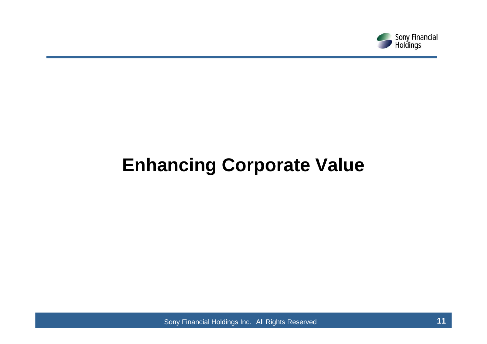

# **Enhancing Corporate Value**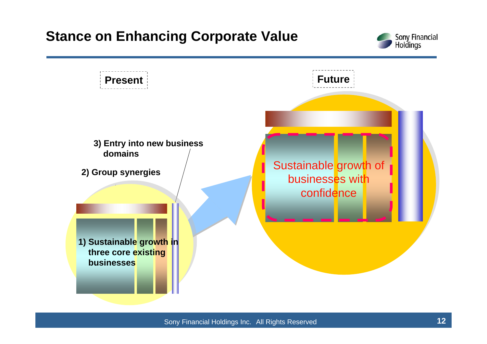### **Stance on Enhancing Corporate Value**



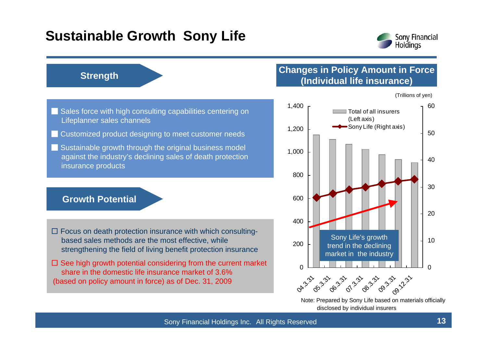### **Sustainable Growth Sony Life**



#### **Strength**

#### **Changes in Policy Amount in Force (Individual life insurance)**

(Trillions of yen)

- Sales force with high consulting capabilities centering on Lifeplanner sales channels
- Customized product designing to meet customer needs
- Sustainable growth through the original business model against the industry's declining sales of death protection insurance products

#### **Growth Potential**

- $\square$  Focus on death protection insurance with which consultingbased sales methods are the most effective, while strengthening the field of living benefit protection insurance
- $\square$  See high growth potential considering from the current market share in the domestic life insurance market of 3.6% (based on policy amount in force) as of Dec. 31, 2009



Note: Prepared by Sony Life based on materials officially disclosed by individual insurers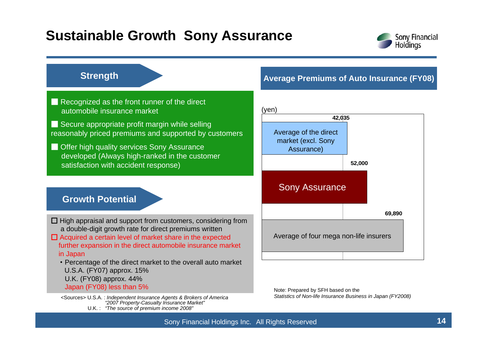### **Sustainable Growth Sony Assurance**



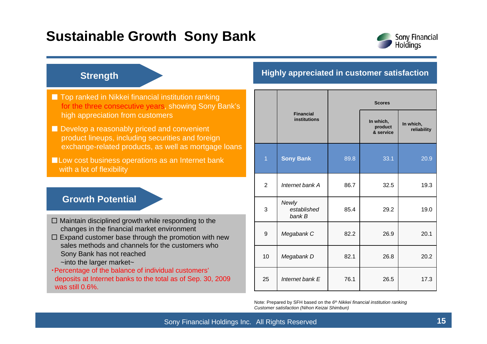### **Sustainable Growth Sony Bank**



#### **Strength**

- Top ranked in Nikkei financial institution ranking for the three consecutive years, showing Sony Bank's high appreciation from customers
- Develop a reasonably priced and convenient product lineups, including securities and foreign exchange-related products, as well as mortgage loans

■ Low cost business operations as an Internet bank with a lot of flexibility

#### **Growth Potential**

- $\square$  Maintain disciplined growth while responding to the changes in the financial market environment
- $\square$  Expand customer base through the promotion with new sales methods and channels for the customers who Sony Bank has not reached
	- ~into the larger market~

・Percentage of the balance of individual customers' deposits at Internet banks to the total as of Sep. 30, 2009 was still 0.6%.

#### **Highly appreciated in customer satisfaction**

|                |                                         | <b>Scores</b> |                                   |                          |  |  |  |
|----------------|-----------------------------------------|---------------|-----------------------------------|--------------------------|--|--|--|
|                | <b>Financial</b><br><b>institutions</b> |               | In which,<br>product<br>& service | In which,<br>reliability |  |  |  |
| $\overline{1}$ | <b>Sony Bank</b>                        | 89.8          | 33.1                              | 20.9                     |  |  |  |
| $\overline{2}$ | Internet bank A                         | 86.7          | 32.5                              | 19.3                     |  |  |  |
| 3              | Newly<br>established<br>bank B          | 85.4          | 29.2                              | 19.0                     |  |  |  |
| 9              | Megabank C                              | 82.2          | 26.9                              | 20.1                     |  |  |  |
| 10             | Megabank D                              | 82.1          | 26.8                              | 20.2                     |  |  |  |
| 25             | Internet bank E                         | 76.1          | 26.5                              | 17.3                     |  |  |  |

Note: Prepared by SFH based on the *6th Nikkei financial institution ranking Customer satisfaction (Nihon Keizai Shimbun)*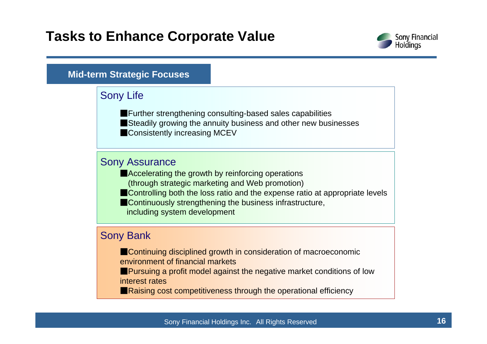### **Tasks to Enhance Corporate Value**



#### **Mid-term Strategic Focuses**

#### Sony Life

■ Further strengthening consulting-based sales capabilities ■Steadily growing the annuity business and other new businesses ■Consistently increasing MCEV

#### Sony Assurance

- ■Accelerating the growth by reinforcing operations (through strategic marketing and Web promotion)
- ■Controlling both the loss ratio and the expense ratio at appropriate levels
- **Continuously strengthening the business infrastructure,** including system development

#### Sony Bank

- ■Continuing disciplined growth in consideration of macroeconomic environment of financial markets
- ■Pursuing a profit model against the negative market conditions of low interest rates
- Raising cost competitiveness through the operational efficiency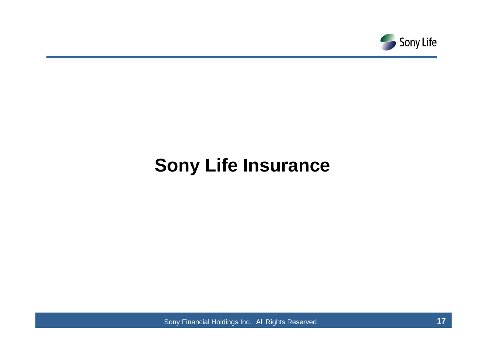

# **Sony Life Insurance**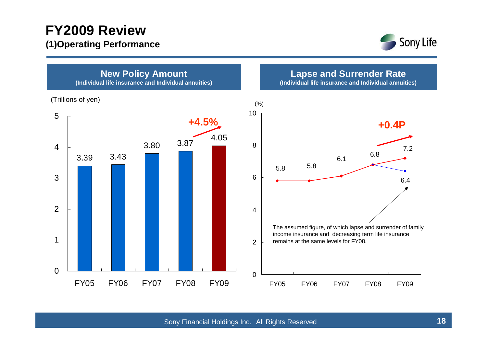### **FY2009 Review (1)Operating Performance**



**New Policy Amount (Individual life insurance and Individual annuities)**

(Trillions of yen)



**Lapse and Surrender Rate**

**(Individual life insurance and Individual annuities)**

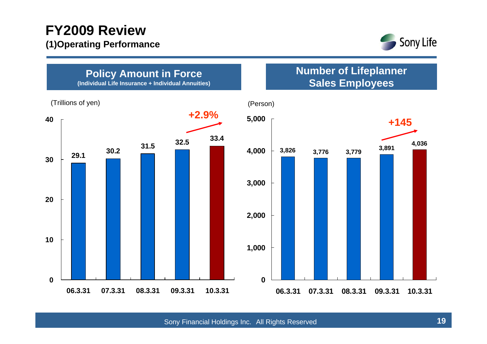### **FY2009 Review (1)Operating Performance**



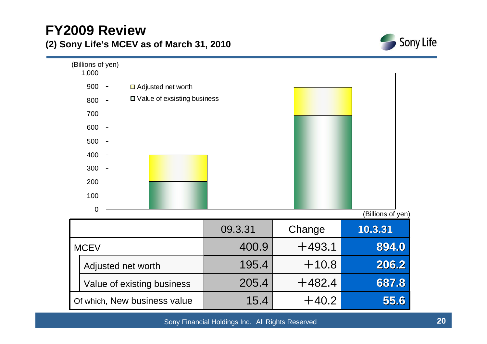### **FY2009 Review (2) Sony Life's MCEV as of March 31, 2010**



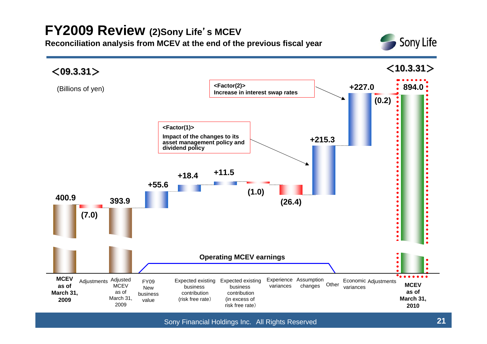## **FY2009 Review (2)Sony Life**'**s MCEV**

**Reconciliation analysis from MCEV at the end of the previous fiscal year**



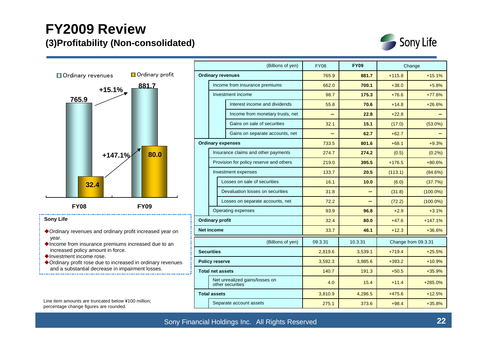### **FY2009 Review (3)Profitability (Non-consolidated)**





- Ordinary revenues and ordinary profit increased year on year.
- $\blacklozenge$  Income from insurance premiums increased due to an increased policy amount in force.
- ◆Investment income rose.
- Ordinary profit rose due to increased in ordinary revenues and a substantial decrease in impairment losses.

Line item amounts are truncated below ¥100 million; percentage change figures are rounded.

|                                       | (Billions of yen)     |                                                    | <b>FY08</b> | <b>FY09</b> |          | Change              |
|---------------------------------------|-----------------------|----------------------------------------------------|-------------|-------------|----------|---------------------|
| Ordinary profit                       |                       | <b>Ordinary revenues</b>                           | 765.9       | 881.7       | $+115.8$ | $+15.1%$            |
| 881.7                                 |                       | Income from insurance premiums                     | 662.0       | 700.1       | $+38.0$  | $+5.8%$             |
|                                       |                       | Investment income                                  | 98.7        | 175.3       | $+76.6$  | $+77.6%$            |
|                                       |                       | Interest income and dividends                      | 55.8        | 70.6        | $+14.8$  | $+26.6%$            |
|                                       |                       | Income from monetary trusts, net                   |             | 22.8        | $+22.8$  |                     |
|                                       |                       | Gains on sale of securities                        | 32.1        | 15.1        | (17.0)   | $(53.0\%)$          |
|                                       |                       | Gains on separate accounts, net                    |             | 62.7        | $+62.7$  |                     |
|                                       |                       | <b>Ordinary expenses</b>                           | 733.5       | 801.6       | $+68.1$  | $+9.3%$             |
| 80.0                                  |                       | Insurance claims and other payments                | 274.7       | 274.2       | (0.5)    | (0.2%)              |
|                                       |                       | Provision for policy reserve and others            | 219.0       | 395.5       | $+176.5$ | $+80.6%$            |
|                                       |                       | Investment expenses                                | 133.7       | 20.5        | (113.1)  | (84.6%)             |
|                                       |                       | Losses on sale of securities                       | 16.1        | 10.0        | (6.0)    | (37.7%)             |
|                                       |                       | Devaluation losses on securities                   | 31.8        |             | (31.8)   | $(100.0\%)$         |
| <b>FY09</b>                           |                       | Losses on separate accounts, net                   | 72.2        | $\equiv$    | (72.2)   | $(100.0\%)$         |
|                                       | Operating expenses    |                                                    | 93.9        | 96.8        | $+2.9$   | $+3.1%$             |
|                                       |                       | <b>Ordinary profit</b>                             | 32.4        | 80.0        | $+47.6$  | $+147.1%$           |
| t increased year on                   |                       | <b>Net income</b>                                  | 33.7        | 46.1        | $+12.3$  | $+36.6%$            |
| creased due to an                     |                       | (Billions of yen)                                  | 09.3.31     | 10.3.31     |          | Change from 09.3.31 |
|                                       | <b>Securities</b>     |                                                    | 2,819.6     | 3,539.1     | $+719.4$ | $+25.5%$            |
| in ordinary revenues                  | <b>Policy reserve</b> |                                                    | 3,592.3     | 3,985.6     | $+393.2$ | $+10.9%$            |
| ment losses.                          |                       | <b>Total net assets</b>                            | 140.7       | 191.3       | $+50.5$  | $+35.9%$            |
|                                       |                       | Net unrealized gains/losses on<br>other securities | 4.0         | 15.4        | $+11.4$  | $+285.0%$           |
|                                       |                       | <b>Total assets</b>                                | 3,810.9     | 4,286.5     | $+475.6$ | $+12.5%$            |
| 0 million:<br>Separate account assets |                       | 275.1                                              | 373.6       | $+98.4$     | $+35.8%$ |                     |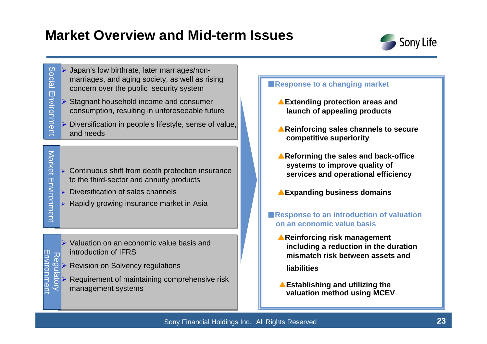### **Market Overview and Mid-term Issues**



**Social** Social Environment Environment

Market Environment

Environment

Market

¾

Regulatory Environment

Nopell

Regu

**Environmen** 

- ¾ Japan's low birthrate, later marriages/nonmarriages, and aging society, as well as rising concern over the public security system
- ¾ Stagnant household income and consumer consumption, resulting in unforeseeable future
- ¾ Diversification in people's lifestyle, sense of value, and needs
- $\triangleright$  Continuous shift from death protection insurance to the third-sector and annuity products
- ¾ Diversification of sales channels
- $\triangleright$  Rapidly growing insurance market in Asia

 $\triangleright$  Valuation on an economic value basis and introduction of IFRS

Revision on Solvency regulations

¾ Requirement of maintaining comprehensive risk management systems

#### ■**Response to a changing market**

- ▲**Extending protection areas and launch of appealing products**
- ▲**Reinforcing sales channels to secure competitive superiority**
- ▲**Reforming the sales and back-office systems to improve quality of services and operational efficiency**
- **Expanding business domains**
- ■**Response to an introduction of valuation on an economic value basis**
	- ▲**Reinforcing risk management including a reduction in the duration mismatch risk between assets and**

**liabilities** 

▲**Establishing and utilizing the valuation method using MCEV**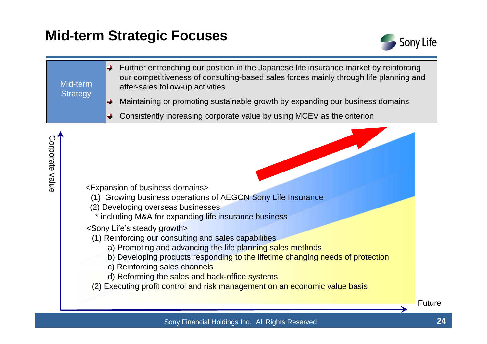### **Mid-term Strategic Focuses**



Further entrenching our position in the Japanese life insurance market by reinforcing  $\rightarrow$ our competitiveness of consulting-based sales forces mainly through life planning and Mid-term after-sales follow-up activities **Strategy** 

- Maintaining or promoting sustainable growth by expanding our business domains →
- Consistently increasing corporate value by using MCEV as the criterion

- <Expansion of business dom ains>
	- (1) Growing business operations of AEGO N Sony Life Insurance
	- (2) Developing overseas businesses
		- \* including M&A for expanding life insurance business
	- <Sony Life's steady growth>
		- (1) Reinforcing our consulting and sales capabilities
			- a) Promoting and advancing the life planning sales methods
			- b) Developing products responding to the lifetime changing needs of protection
			- c) Reinforcing sales channels
			- d) Reforming the sales and back-office systems
		- (2) Executing profit control and risk management on an economic value basis

Sony Financial Holdings Inc. All Rights Reserved **24**

Future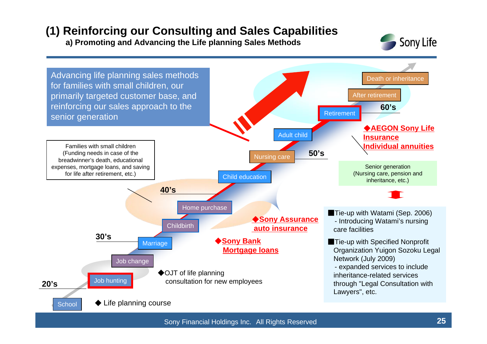### **(1) Reinforcing our Consulting and Sales Capabilities**

**a) Promoting and Advancing the Life planning Sales Methods**



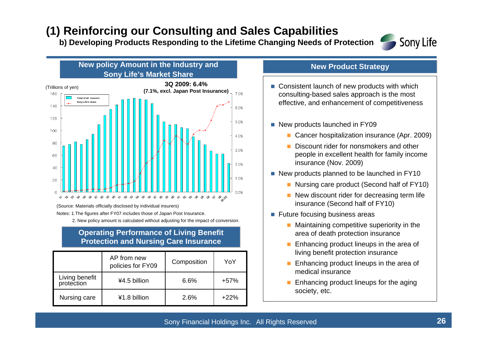### **(1) Reinforcing our Consulting and Sales Capabilities**

**b) Developing Products Responding to the Lifetime Changing Needs of Protection**



#### **Sony Life's Market Share** (Trillions of yen) **3Q 2009: 6.4% (7.1%, excl. Japan Post Insurance)** 7.0% **Total of all insurersSony Life's share** 140 6.0% 120 5.0% 100 4.0%  $80\,$ 3.0% 60 2.0% 40 1.0% 20

**New policy Amount in the Industry and** 

(Source: Materials officially disclosed by individual insurers)

 $\cap$ 

oz.

Notes: 1.The figures after FY07 includes those of Japan Post Insurance.

2. New policy amount is calculated without adjusting for the impact of conversion.

#### **Operating Performance of Living Benefit Protection and Nursing Care Insurance**

0.0000000000000000000000000000000000

|                              | AP from new<br>policies for FY09 | Composition | YoY    |
|------------------------------|----------------------------------|-------------|--------|
| Living benefit<br>protection | ¥4.5 billion                     | 6.6%        | $+57%$ |
| Nursing care                 | ¥1.8 billion                     | 2.6%        | $+22%$ |

#### **New Product Strategy**

- Consistent launch of new products with which consulting-based sales approach is the most effective, and enhancement of competitiveness
- New products launched in FY09
	- $\mathbf{r}$ Cancer hospitalization insurance (Apr. 2009)
	- Discount rider for nonsmokers and other people in excellent health for family income insurance (Nov. 2009)
- New products planned to be launched in FY10
	- Nursing care product (Second half of FY10)
	- New discount rider for decreasing term life insurance (Second half of FY10)
- **Future focusing business areas** 
	- $\blacksquare$  Maintaining competitive superiority in the area of death protection insurance
	- Enhancing product lineups in the area of living benefit protection insurance
	- Enhancing product lineups in the area of medical insurance
	- Enhancing product lineups for the aging society, etc.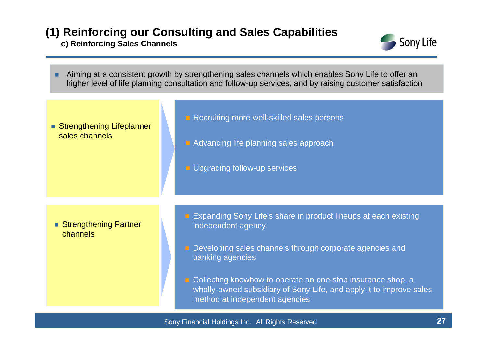### **(1) Reinforcing our Consulting and Sales Capabilities**

**c) Reinforcing Sales Channels**



П Aiming at a consistent growth by strengthening sales channels which enables Sony Life to offer an higher level of life planning consultation and follow-up services, and by raising customer satisfaction

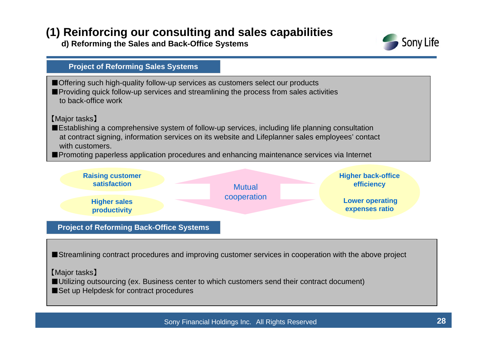### **(1) Reinforcing our consulting and sales capabilities**

**d) Reforming the Sales and Back-Office Systems**



### ■ Offering such high-quality follow-up services as customers select our products ■Providing quick follow-up services and streamlining the process from sales activities to back-office work【Major tasks】 ■Establishing a comprehensive system of follow-up services, including life planning consultation at contract signing, information services on its website and Lifeplanner sales employees' contact with customers.■Promoting paperless application procedures and enhancing maintenance services via Internet **Project of Reforming Sales Systems**



■Streamlining contract procedures and improving customer services in cooperation with the above project

【Major tasks】

■Utilizing outsourcing (ex. Business center to which customers send their contract document)

■Set up Helpdesk for contract procedures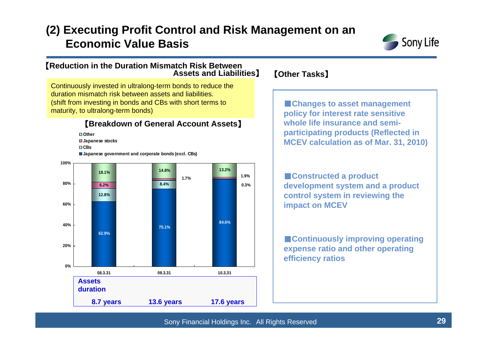### **(2) Executing Profit Control and Risk Management on an Economic Value Basis**



#### 【**Reduction in the Duration Mismatch Risk Between Assets and Liabilities**】 【**Other Tasks**】

Continuously invested in ultralong-term bonds to reduce the duration mismatch risk between assets and liabilities. (shift from investing in bonds and CBs with short terms to maturity, to ultralong-term bonds)

#### 【**Breakdown of General Account Assets**】

**Other**

**Japanese stocks**

**CBs**

**Japanese government and corporate bonds (excl. CBs)**



■**Changes to asset management policy for interest rate sensitive whole life insurance and semiparticipating products (Reflected in MCEV calculation as of Mar. 31, 2010)**

■**Constructed a product development system and a product control system in reviewing the impact on MCEV**

■**Continuously improving operating expense ratio and other operating efficiency ratios**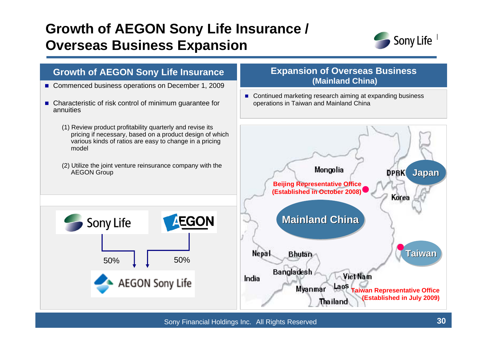## **Growth of AEGON Sony Life Insurance / Overseas Business Expansion**



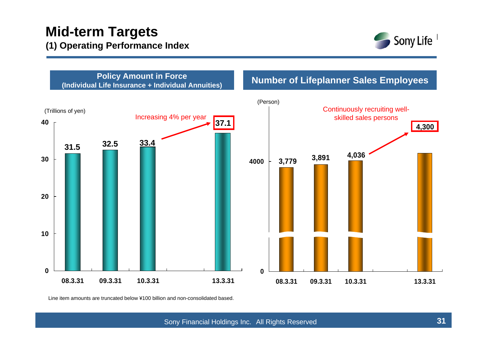### **Mid-term Targets (1) Operating Performance Index**





Line item amounts are truncated below ¥100 billion and non-consolidated based.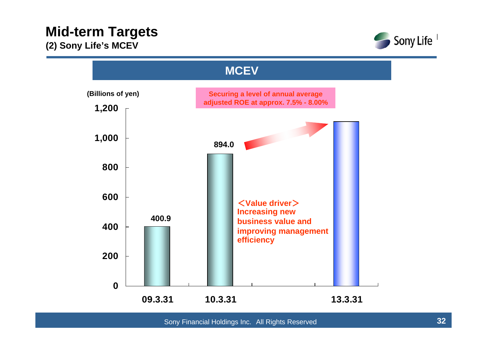

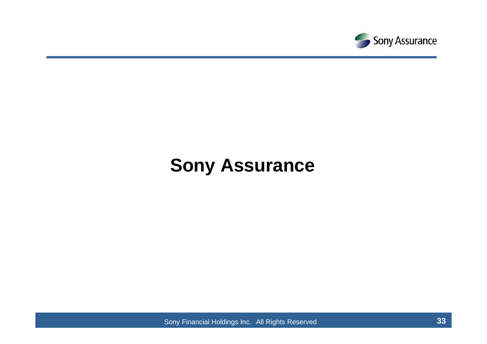

# **Sony Assurance**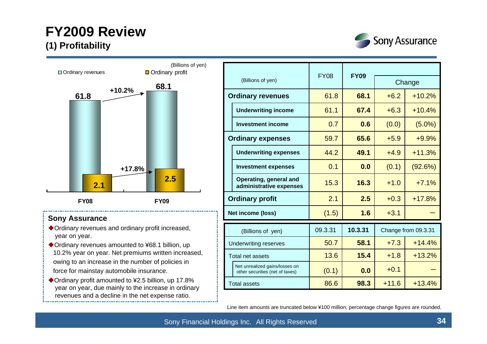### **FY2009 Review (1) Profitability**





#### **Sony Assurance**

- Ordinary revenues and ordinary profit increased, year on year.
- ◆ Ordinary revenues amounted to ¥68.1 billion, up 10.2% year on year. Net premiums written increased, owing to an increase in the number of policies in force for mainstay automobile insurance.
- ◆ Ordinary profit amounted to ¥2.5 billion, up 17.8% year on year, due mainly to the increase in ordinary revenues and a decline in the net expense ratio.

|                              |                                                                   |             | <b>FY09</b> |         |                     |  |
|------------------------------|-------------------------------------------------------------------|-------------|-------------|---------|---------------------|--|
| (Billions of yen)            |                                                                   | <b>FY08</b> |             | Change  |                     |  |
|                              | <b>Ordinary revenues</b>                                          | 61.8        | 68.1        | $+6.2$  | $+10.2%$            |  |
|                              | <b>Underwriting income</b>                                        | 61.1        | 67.4        | $+6.3$  | $+10.4%$            |  |
|                              | <b>Investment income</b>                                          | 0.7         | 0.6         | (0.0)   | $(5.0\%)$           |  |
|                              | <b>Ordinary expenses</b>                                          | 59.7        | 65.6        | $+5.9$  | $+9.9%$             |  |
|                              | <b>Underwriting expenses</b>                                      | 44.2        | 49.1        | $+4.9$  | $+11.3%$            |  |
|                              | <b>Investment expenses</b>                                        | 0.1         | 0.0         | (0.1)   | (92.6%)             |  |
|                              | Operating, general and<br>administrative expenses                 | 15.3        | 16.3        | $+1.0$  | $+7.1%$             |  |
|                              | <b>Ordinary profit</b>                                            | 2.1         | 2.5         | $+0.3$  | $+17.8%$            |  |
|                              | Net income (loss)                                                 | (1.5)       | 1.6         | $+3.1$  |                     |  |
|                              | (Billions of yen)                                                 | 09.3.31     | 10.3.31     |         | Change from 09.3.31 |  |
| <b>Underwriting reserves</b> |                                                                   | 50.7        | 58.1        | $+7.3$  | $+14.4%$            |  |
| Total net assets             |                                                                   | 13.6        | 15.4        | $+1.8$  | $+13.2%$            |  |
|                              | Net unrealized gains/losses on<br>other securities (net of taxes) | (0.1)       | 0.0         | $+0.1$  |                     |  |
|                              | <b>Total assets</b>                                               | 86.6        | 98.3        | $+11.6$ | $+13.4%$            |  |

Line item amounts are truncated below ¥100 million; percentage change figures are rounded.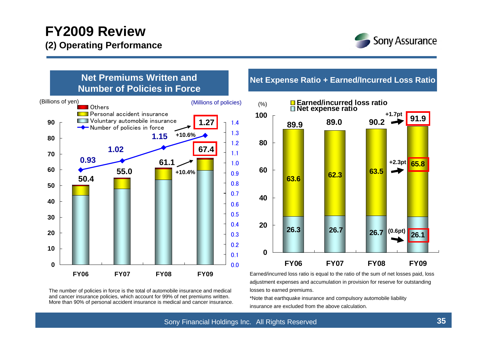### **FY2009 Review (2) Operating Performance**





The number of policies in force is the total of automobile insurance and medical and cancer insurance policies, which account for 99% of net premiums written. More than 90% of personal accident insurance is medical and cancer insurance.

#### **Net Expense Ratio + Earned/Incurred Loss Ratio**



Earned/incurred loss ratio is equal to the ratio of the sum of net losses paid, loss adjustment expenses and accumulation in provision for reserve for outstanding losses to earned premiums.

\*Note that earthquake insurance and compulsory automobile liability insurance are excluded from the above calculation.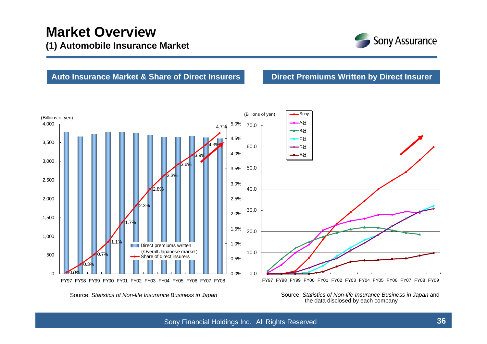

#### **Auto Insurance Market & Share of Direct Insurers**

**Direct Premiums Written by Direct Insurer**



Source: *Statistics of Non-life Insurance Business in Japan*

Source: *Statistics of Non-life Insurance Business in Japan* and the data disclosed by each company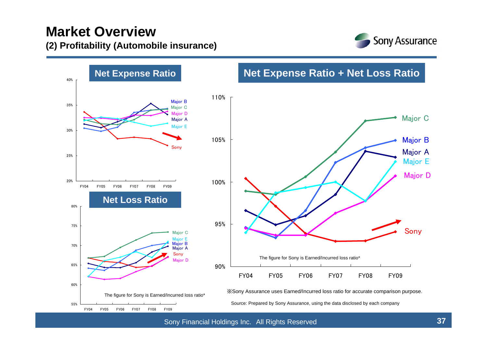### **Market Overview (2) Profitability (Automobile insurance)**



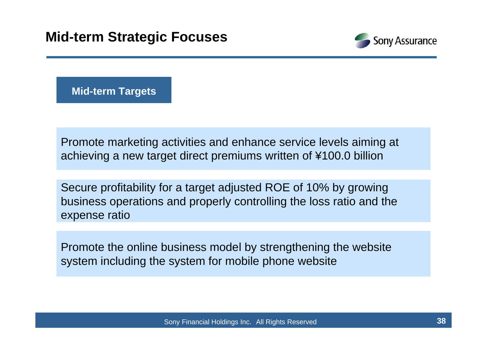

**Mid-term Targets**

Promote marketing activities and enhance service levels aiming at achieving a new target direct premiums written of ¥100.0 billion

Secure profitability for a target adjusted ROE of 10% by growing business operations and properly controlling the loss ratio and the expense ratio

Promote the online business model by strengthening the website system including the system for mobile phone website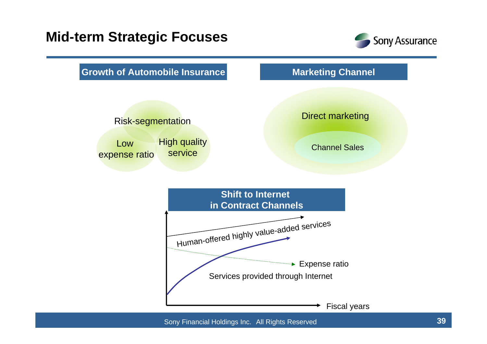### **Mid-term Strategic Focuses**





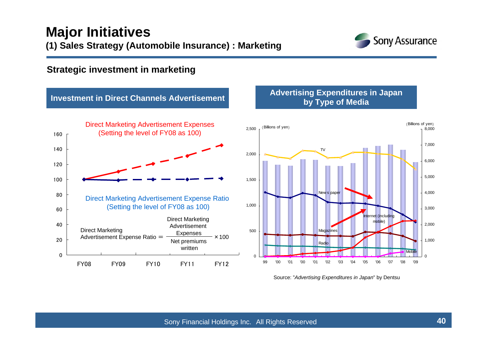

#### **Strategic investment in marketing**

#### **Investment in Direct Channels Advertisement**



# **Advertising Expenditures in Japan by Type of Media**



Source: "*Advertising Expenditures in Japan*" by Dentsu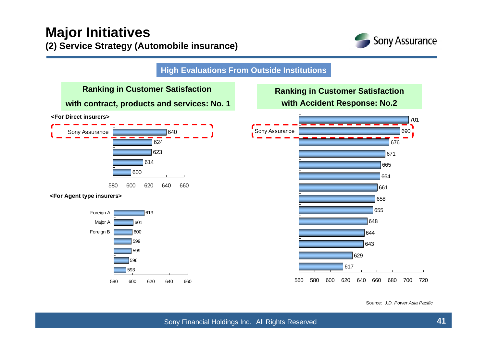

**High Evaluations From Outside Institutions**



#### **Ranking in Customer Satisfaction with Accident Response: No.2**



Source: *J.D. Power Asia Pacific*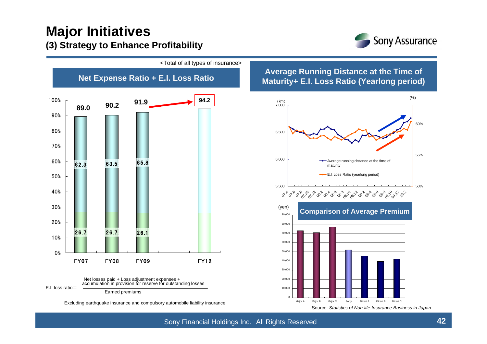### **Major Initiatives (3) Strategy to Enhance Profitability**



<Total of all types of insurance>



**Net Expense Ratio + E.I. Loss Ratio Average Running Distance at the Time of Maturity+ E.I. Loss Ratio (Yearlong period)**



Source: *Statistics of Non-life Insurance Business in Japan*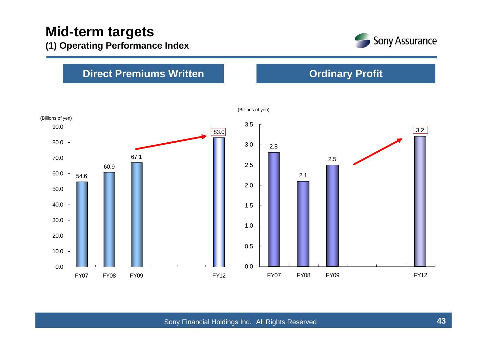

**Ordinary Profit**

### **Direct Premiums Written**



(Billions of yen)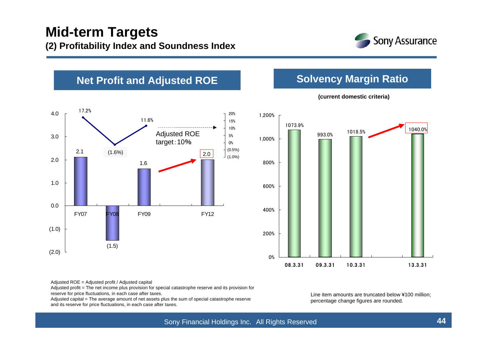

### **Net Profit and Adjusted ROE <b>Solvency Margin Ratio**





#### **(current domestic criteria)**

Adjusted ROE = Adjusted profit / Adjusted capital

Adjusted profit = The net income plus provision for special catastrophe reserve and its provision for

reserve for price fluctuations, in each case after taxes.

Adjusted capital = The average amount of net assets plus the sum of special catastrophe reserve and its reserve for price fluctuations, in each case after taxes.

Line item amounts are truncated below ¥100 million; percentage change figures are rounded.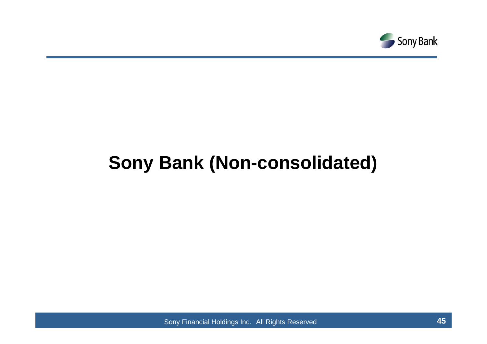

# **Sony Bank (Non-consolidated)**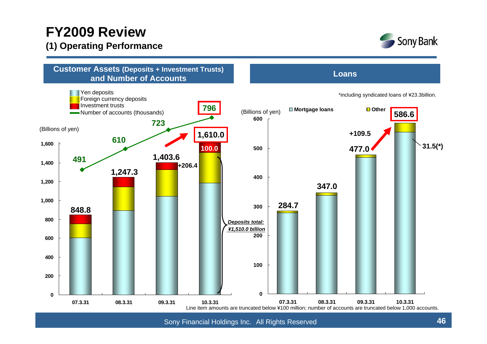### **FY2009 Review (1) Operating Performance**



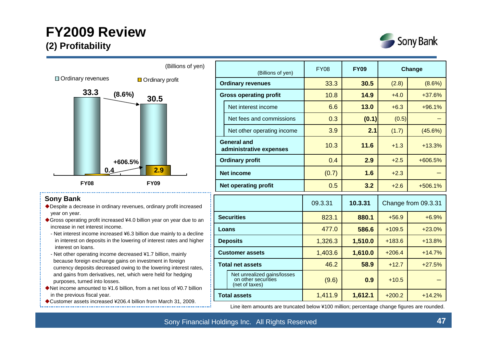### **FY2009 Review (2) Profitability**





#### **Sony Bank**

- Despite a decrease in ordinary revenues, ordinary profit increased year on year.
- ◆ Gross operating profit increased ¥4.0 billion year on year due to an increase in net interest income.
- Net interest income increased ¥6.3 billion due mainly to a decline in interest on deposits in the lowering of interest rates and higher interest on loans.
- Net other operating income decreased ¥1.7 billion, mainly because foreign exchange gains on investment in foreign currency deposits decreased owing to the lowering interest rates, and gains from derivatives, net, which were held for hedging purposes, turned into losses.
- ◆ Net income amounted to ¥1.6 billion, from a net loss of ¥0.7 billion in the previous fiscal year.
- ◆ Customer assets increased ¥206.4 billion from March 31, 2009.

| (Billions of yen)             |                                                                      | <b>FY08</b> | <b>FY09</b> |                      | Change              |
|-------------------------------|----------------------------------------------------------------------|-------------|-------------|----------------------|---------------------|
|                               | <b>Ordinary revenues</b>                                             | 33.3        | 30.5        | (2.8)<br>$(8.6\%)$   |                     |
| <b>Gross operating profit</b> |                                                                      | 10.8        | 14.9        | $+4.0$               | $+37.6%$            |
|                               | Net interest income                                                  | 6.6         | 13.0        | $+6.3$               | $+96.1%$            |
|                               | Net fees and commissions                                             | 0.3         | (0.1)       | (0.5)                |                     |
|                               | Net other operating income                                           | 3.9         | 2.1         | (1.7)                | (45.6%)             |
|                               | <b>General and</b><br>administrative expenses                        | 10.3        | 11.6        | $+1.3$               | $+13.3%$            |
|                               | <b>Ordinary profit</b>                                               | 0.4         | 2.9         | $+2.5$               | $+606.5%$           |
|                               | <b>Net income</b>                                                    | (0.7)       | 1.6         | $+2.3$               |                     |
|                               | <b>Net operating profit</b>                                          | 0.5         | 3.2         | $+2.6$               | $+506.1%$           |
|                               |                                                                      | 09.3.31     | 10.3.31     |                      | Change from 09.3.31 |
|                               | <b>Securities</b>                                                    | 823.1       | 880.1       | $+56.9$              | $+6.9%$             |
| Loans                         |                                                                      | 477.0       | 586.6       | $+109.5$             | $+23.0%$            |
|                               | <b>Deposits</b>                                                      | 1,326.3     | 1,510.0     | $+183.6$             | $+13.8%$            |
|                               | <b>Customer assets</b>                                               | 1,403.6     | 1,610.0     | $+206.4$<br>$+14.7%$ |                     |
| <b>Total net assets</b>       |                                                                      | 46.2        | 58.9        | $+12.7$              | $+27.5%$            |
|                               | Net unrealized gains/losses<br>on other securities<br>(net of taxes) | (9.6)       | 0.9         | $+10.5$              |                     |
|                               | <b>Total assets</b>                                                  | 1,411.9     | 1,612.1     | $+200.2$             | $+14.2%$            |

Line item amounts are truncated below ¥100 million; percentage change figures are rounded.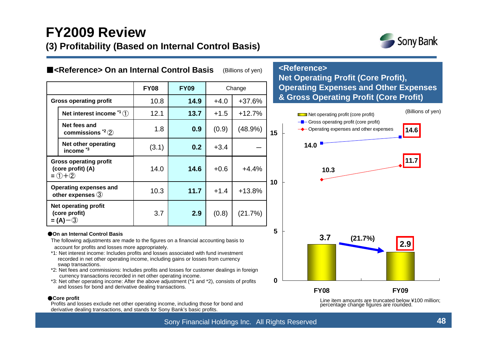### **FY2009 Review (3) Profitability (Based on Internal Control Basis)**



(Billions of yen)

| ■ <reference> On an Internal Control Basis<br/>(Billions of yen)</reference> |                                                                     |                            |      |                  |            | <reference><br/><b>Net Operating Profit (Core Pro)</b></reference>                      |  |  |  |
|------------------------------------------------------------------------------|---------------------------------------------------------------------|----------------------------|------|------------------|------------|-----------------------------------------------------------------------------------------|--|--|--|
|                                                                              |                                                                     | <b>FY08</b><br><b>FY09</b> |      | Change           |            | <b>Operating Expenses and Other</b>                                                     |  |  |  |
| <b>Gross operating profit</b>                                                |                                                                     | 10.8                       | 14.9 | +37.6%<br>$+4.0$ |            | & Gross Operating Profit (Core                                                          |  |  |  |
|                                                                              | Net interest income $1^4$ (1)                                       | 12.1                       | 13.7 | $+1.5$           | $+12.7%$   | Net operating profit (core profit)                                                      |  |  |  |
|                                                                              | Net fees and<br>commissions ${}^{2}$ (2)                            | 1.8                        | 0.9  | (0.9)            | $(48.9\%)$ | - Gross operating profit (core profit)<br>→ Operating expenses and other expenses<br>15 |  |  |  |
|                                                                              | Net other operating<br>income <sup>*3</sup>                         | (3.1)                      | 0.2  | $+3.4$           |            | 14.0                                                                                    |  |  |  |
|                                                                              | <b>Gross operating profit</b><br>(core profit) (A)<br>$= (1) + (2)$ | 14.0                       | 14.6 | $+0.6$           | $+4.4%$    | 10.3                                                                                    |  |  |  |
|                                                                              | Operating expenses and<br>other expenses $(3)$                      | 10.3                       | 11.7 | $+1.4$           | $+13.8%$   | 10                                                                                      |  |  |  |
|                                                                              | Net operating profit<br>(core profit)<br>$= (A) - (3)$              | 3.7                        | 2.9  | (0.8)            | (21.7%)    |                                                                                         |  |  |  |

#### ● On an Internal Control Basis

The following adjustments are made to the figures on a financial accounting basis to account for profits and losses more appropriately.

- \*1: Net interest income: Includes profits and losses associated with fund investment recorded in net other operating income, including gains or losses from currency swap transactions.
- \*2: Net fees and commissions: Includes profits and losses for customer dealings in foreign currency transactions recorded in net other operating income.
- \*3: Net other operating income: After the above adjustment (\*1 and \*2), consists of profits and losses for bond and derivative dealing transactions.

#### ●**Core profit**

Profits and losses exclude net other operating income, including those for bond and derivative dealing transactions, and stands for Sony Bank's basic profits.

#### **<Reference>Net Operating Profit (Core Profit), Expenses Profit)**



Line item amounts are truncated below ¥100 million; percentage change figures are rounded.

**0**

**5**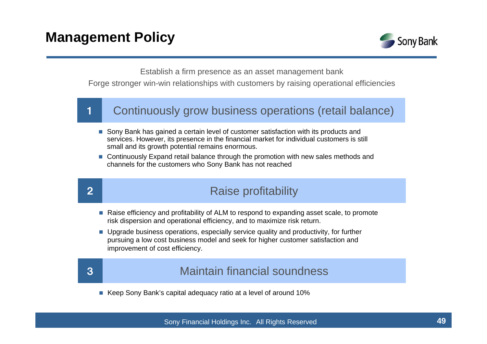

Establish a firm presence as an asset management bank

Forge stronger win-win relationships with customers by raising operational efficiencies

#### 1Continuously grow business operations (retail balance)

- Sony Bank has gained a certain level of customer satisfaction with its products and services. However, its presence in the financial market for individual customers is still small and its growth potential remains enormous.
- Continuously Expand retail balance through the promotion with new sales methods and channels for the customers who Sony Bank has not reached

### Raise profitability

- Raise efficiency and profitability of ALM to respond to expanding asset scale, to promote risk dispersion and operational efficiency, and to maximize risk return.
- **Dearage 1** Upgrade business operations, especially service quality and productivity, for further pursuing a low cost business model and seek for higher customer satisfaction and improvement of cost efficiency.

2

### Maintain financial soundness

■ Keep Sony Bank's capital adequacy ratio at a level of around 10%

<sup>3</sup>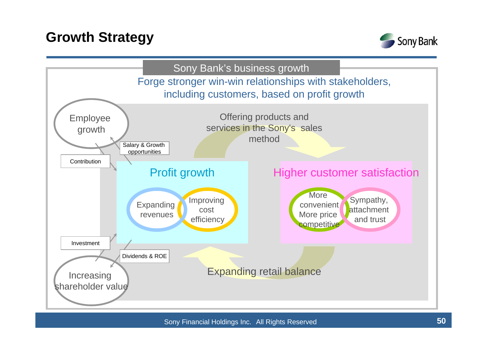### **Growth Strategy**



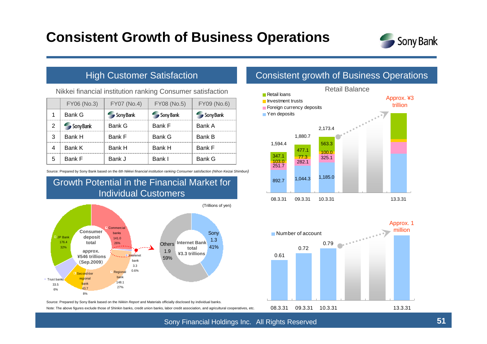### **Consistent Growth of Business Operations**



#### High Customer Satisfaction

Nikkei financial institution ranking Consumer satisfaction

|                | FY06 (No.3)   | FY07 (No.4) | FY08 (No.5) | FY09 (No.6)   |
|----------------|---------------|-------------|-------------|---------------|
|                | <b>Bank G</b> | Sony Bank   | Sony Bank   | Sony Bank     |
| $\overline{2}$ | Sony Bank     | Bank G      | Bank F      | Bank A        |
| 3              | Bank H        | Bank F      | Bank G      | <b>Bank B</b> |
| 4              | Bank K        | Bank H      | Bank H      | Bank F        |
| 5              | Bank F        | Bank J      | Bank I      | Bank G        |

Source: Prepared by Sony Bank based on the *6th Nikkei financial institution ranking Consumer satisfaction (Nihon Keizai Shimbun)*

Growth Potential in the Financial Market for



Source: Prepared by Sony Bank based on the *Nikkin Report* and Materials officially disclosed by individual banks.

Note: The above figures exclude those of Shinkin banks, credit union banks, labor credit association, and agricultural cooperatives, etc.

#### Consistent growth of Business Operations



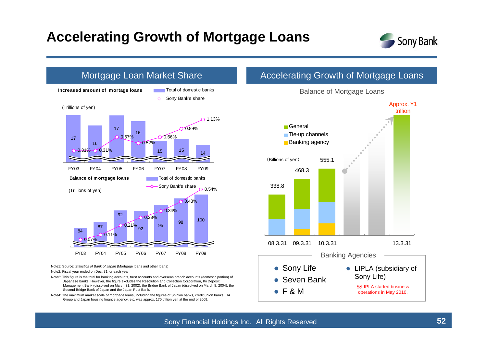### **Accelerating Growth of Mortgage Loans**





Note4: The maximum market scale of mortgage loans, including the figures of Shinkin banks, credit union banks, JA Group and Japan housing finance agency, etc. was approx. 170 trillion yen at the end of 2009.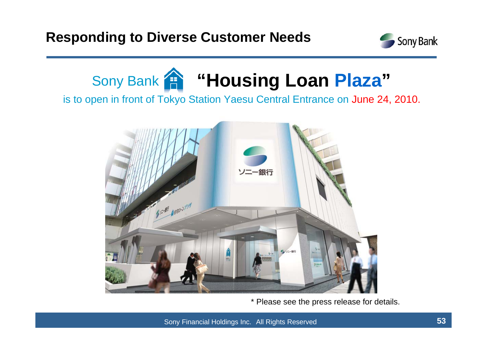



is to open in front of Tokyo Station Yaesu Central Entrance on June 24, 2010.



\* Please see the press release for details.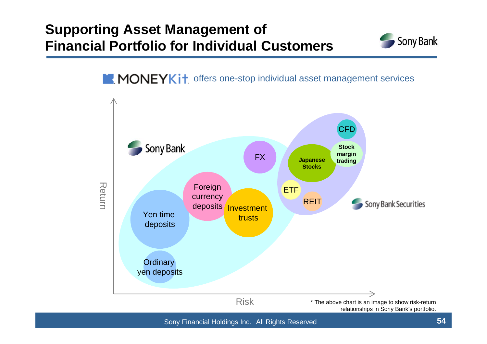### **Supporting Asset Management of Financial Portfolio for Individual Customers**



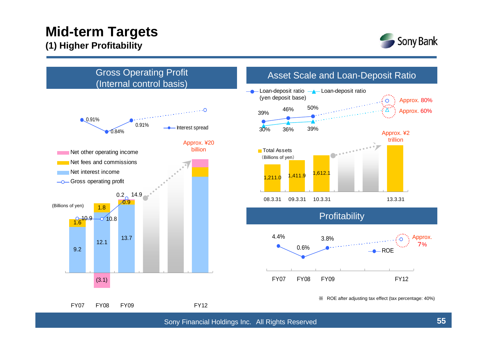### **Mid-term Targets (1) Higher Profitability**





Sony Financial Holdings Inc. All Rights Reserved **55**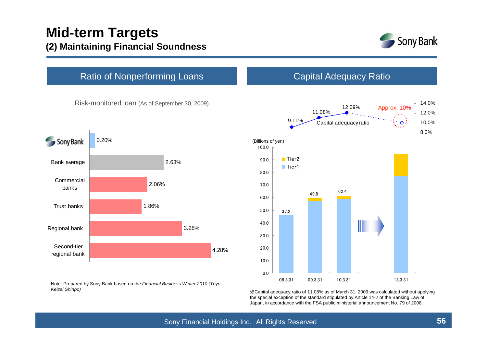

#### Ratio of Nonperforming Loans

Risk-monitored loan (As of September 30, 2009)





Capital Adequacy Ratio

Note: Prepared by Sony Bank based on the *Financial Business Winter 2010 (Toyo Keizai Shinpo)*

※Capital adequacy ratio of 11.08% as of March 31, 2009 was calculated without applying the special exception of the standard stipulated by Article 14-2 of the Banking Law of Japan, in accordance with the FSA public ministerial announcement No. 79 of 2008.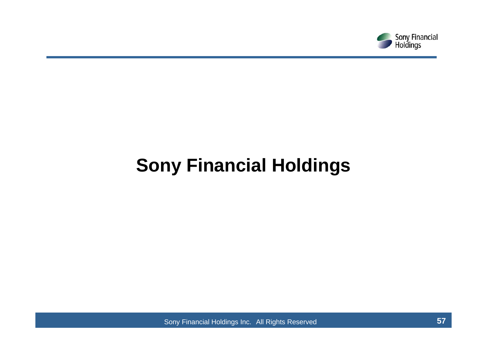

# **Sony Financial Holdings**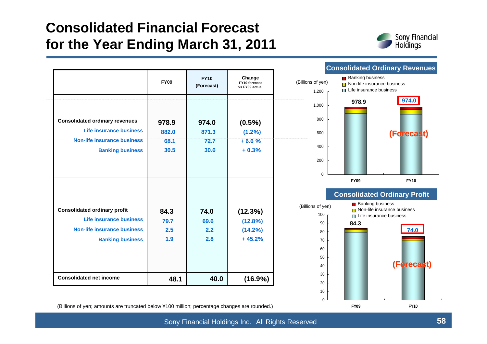### **Consolidated Financial Forecast for the Year Ending March 31, 2011**



|                                                               |              |                           |                                           |                            |                                                                                          | <b>Consolidated Ordinary Revenue</b>                                         |
|---------------------------------------------------------------|--------------|---------------------------|-------------------------------------------|----------------------------|------------------------------------------------------------------------------------------|------------------------------------------------------------------------------|
|                                                               | <b>FY09</b>  | <b>FY10</b><br>(Forecast) | Change<br>FY10 forecast<br>vs FY09 actual | (Billions of yen)<br>1,200 | <b>Banking business</b><br>$\Box$ Non-life insurance business<br>Life insurance business |                                                                              |
|                                                               |              |                           |                                           | 1,000                      | 978.9                                                                                    | 974.0                                                                        |
| <b>Consolidated ordinary revenues</b>                         | 978.9        | 974.0                     | (0.5%)                                    | 800                        |                                                                                          |                                                                              |
| <b>Life insurance business</b>                                | 882.0        | 871.3                     | (1.2%)                                    | 600                        |                                                                                          | (Forecast)                                                                   |
| <b>Non-life insurance business</b><br><b>Banking business</b> | 68.1<br>30.5 | 72.7<br>30.6              | $+6.6%$<br>$+0.3%$                        | 400                        |                                                                                          |                                                                              |
|                                                               |              |                           |                                           | 200                        |                                                                                          |                                                                              |
|                                                               |              |                           |                                           | $\mathbf 0$                | <b>FY09</b>                                                                              | <b>FY10</b>                                                                  |
|                                                               |              |                           |                                           |                            |                                                                                          | <b>Consolidated Ordinary Profit</b>                                          |
| <b>Consolidated ordinary profit</b>                           | 84.3         | 74.0                      | (12.3%)                                   | (Billions of yen)<br>100   | <b>Banking business</b>                                                                  | $\Box$ Non-life insurance business<br>$\blacksquare$ Life insurance business |
| <b>Life insurance business</b>                                | 79.7         | 69.6                      | (12.8%)                                   | 90                         | 84.3                                                                                     |                                                                              |
| <b>Non-life insurance business</b>                            | 2.5          | 2.2                       | (14.2%)                                   | 80                         |                                                                                          | 74.0                                                                         |
| <b>Banking business</b>                                       | 1.9          | 2.8                       | $+45.2%$                                  | 70                         |                                                                                          |                                                                              |
|                                                               |              |                           |                                           | 60                         |                                                                                          |                                                                              |
|                                                               |              |                           |                                           | 50                         |                                                                                          |                                                                              |
|                                                               |              |                           |                                           | 40                         |                                                                                          | (Forecast)                                                                   |
| <b>Consolidated net income</b>                                | 48.1         | 40.0                      | (16.9%)                                   | 30<br>20                   |                                                                                          |                                                                              |
|                                                               |              |                           |                                           | 10                         |                                                                                          |                                                                              |

#### **Consolidated Ordinary Revenues**

(Billions of yen; amounts are truncated below ¥100 million; percentage changes are rounded.)

Sony Financial Holdings Inc. All Rights Reserved **58**

 $\Omega$ 

**FY09**

**FY10**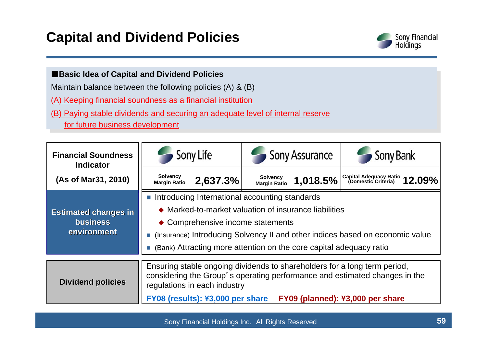### **Capital and Dividend Policies**



#### ■**Basic Idea of Capital and Divid end Policies**

Maintain balance between the following polici es (A) & (B)

(A) Keeping financial soundness as a financial institution

(B) Paying stable dividends and securing an adequate level of internal reserve for future business development

| <b>Financial Soundness</b><br><b>Indicator</b> | Sony Life                                                                                                                                                                               |                                  | <b>Sony Assurance</b>                  |          | Sony Bank                                                                                                                 |  |  |  |
|------------------------------------------------|-----------------------------------------------------------------------------------------------------------------------------------------------------------------------------------------|----------------------------------|----------------------------------------|----------|---------------------------------------------------------------------------------------------------------------------------|--|--|--|
| (As of Mar31, 2010)                            | <b>Solvency</b><br><b>Margin Ratio</b>                                                                                                                                                  | 2,637.3%                         | <b>Solvency</b><br><b>Margin Ratio</b> | 1,018.5% | $\left  \begin{smallmatrix} \text{Capital Adequacy Ratio} \ \text{(Domestic Criteria)} \end{smallmatrix} 12.09\% \right $ |  |  |  |
|                                                | Introducing International accounting standards                                                                                                                                          |                                  |                                        |          |                                                                                                                           |  |  |  |
| <b>Estimated changes in</b>                    | ♦ Marked-to-market valuation of insurance liabilities                                                                                                                                   |                                  |                                        |          |                                                                                                                           |  |  |  |
| <b>business</b>                                | • Comprehensive income statements                                                                                                                                                       |                                  |                                        |          |                                                                                                                           |  |  |  |
| environment                                    | ■ (Insurance) Introducing Solvency II and other indices based on economic value                                                                                                         |                                  |                                        |          |                                                                                                                           |  |  |  |
|                                                | (Bank) Attracting more attention on the core capital adequacy ratio                                                                                                                     |                                  |                                        |          |                                                                                                                           |  |  |  |
|                                                |                                                                                                                                                                                         |                                  |                                        |          |                                                                                                                           |  |  |  |
| <b>Dividend policies</b>                       | Ensuring stable ongoing dividends to shareholders for a long term period,<br>considering the Group's operating performance and estimated changes in the<br>regulations in each industry |                                  |                                        |          |                                                                                                                           |  |  |  |
|                                                |                                                                                                                                                                                         | FY08 (results): ¥3,000 per share |                                        |          | FY09 (planned): ¥3,000 per share                                                                                          |  |  |  |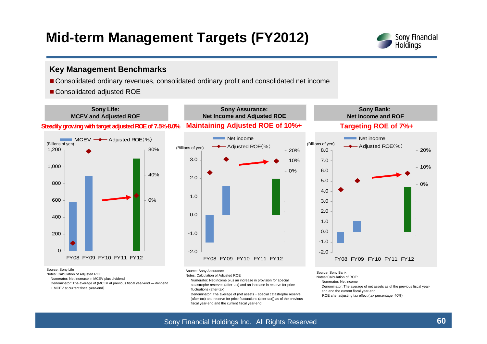### **Mid-term Management Targets (FY2012)**



#### **Key Management Benchmarks**

- Consolidated ordinary revenues, consolidated ordinary profit and consolidated net income
- Consolidated adjusted ROE



Notes: Calculation of Adjusted ROE

Numerator: Net increase in MCEV plus dividend

Denominator: The average of (MCEV at previous fiscal year-end — dividend

+ MCEV at current fiscal year-end)

Notes: Calculation of Adjusted ROE

Numerator: Net income plus an increase in provision for special catastrophe reserves (after-tax) and an increase in reserve for price fluctuations (after-tax)

Denominator: The average of (net assets + special catastrophe reserve (after-tax) and reserve for price fluctuations (after-tax)) as of the previous fiscal year-end and the current fiscal year-end

- Notes:Calculation of ROE:
- Numerator: Net income
- Denominator: The average of net assets as of the previous fiscal year-
- end and the current fiscal year-end
- ROE after adjusting tax effect (tax percentage: 40%)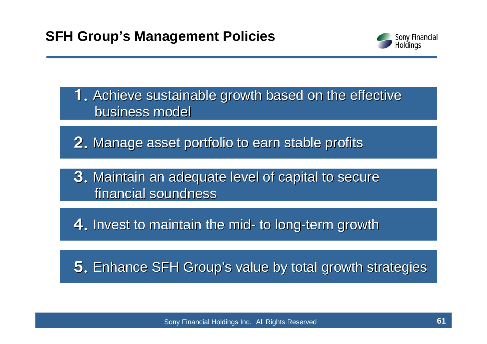

1. Achieve sustainable growth based on the effective business model

2. Manage asset portfolio to earn stable profits

3. Maintain an adequate level of capital to secure financial soundness

**4.** Invest to maintain the mid- to long-term growth

5. Enhance SFH Group's value by total growth strategies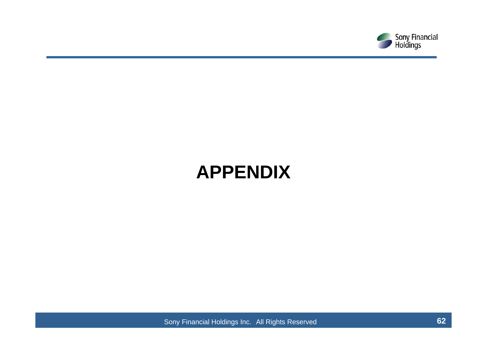

# **APPENDIX**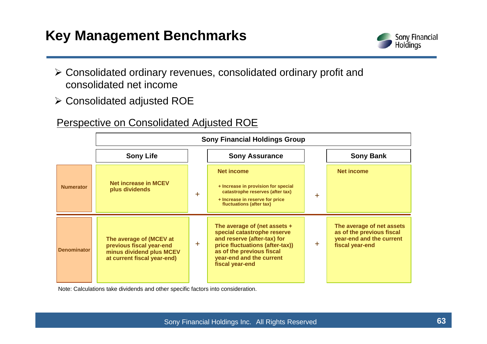

- ¾ Consolidated ordinary revenues, consolidated ordinary profit and consolidated net income
- ¾ Consolidated adjusted ROE

### Perspective on Consolidated Adjusted ROE

|                    | <b>Sony Financial Holdings Group</b>                                                                           |           |                                                                                                                                                                                                             |        |                                                                                                       |  |  |  |
|--------------------|----------------------------------------------------------------------------------------------------------------|-----------|-------------------------------------------------------------------------------------------------------------------------------------------------------------------------------------------------------------|--------|-------------------------------------------------------------------------------------------------------|--|--|--|
|                    | <b>Sony Life</b>                                                                                               |           | <b>Sony Assurance</b>                                                                                                                                                                                       |        | <b>Sony Bank</b>                                                                                      |  |  |  |
| <b>Numerator</b>   | <b>Net increase in MCEV</b><br>plus dividends<br>÷.                                                            |           | <b>Net income</b><br>+ Increase in provision for special<br>catastrophe reserves (after tax)<br>+ Increase in reserve for price<br>fluctuations (after tax)                                                 | $\div$ | <b>Net income</b>                                                                                     |  |  |  |
| <b>Denominator</b> | The average of (MCEV at<br>previous fiscal year-end<br>minus dividend plus MCEV<br>at current fiscal year-end) | $\ddot{}$ | The average of (net assets $+$<br>special catastrophe reserve<br>and reserve (after-tax) for<br>price fluctuations (after-tax))<br>as of the previous fiscal<br>year-end and the current<br>fiscal year-end | ÷      | The average of net assets<br>as of the previous fiscal<br>year-end and the current<br>fiscal year-end |  |  |  |

Note: Calculations take dividends and other specific factors into consideration.